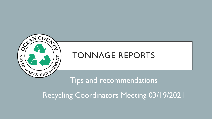

# TONNAGE REPORTS

# Tips and recommendations

Recycling Coordinators Meeting 03/19/2021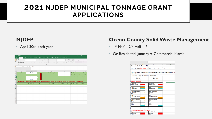# **2021 NJDEP MUNICIPAL TONNAGE GRANT APPLICATIONS**

### **NJDEP**

• April 30th each year

|                | ⊧ ⊸ ہ ⊟                                      |                               |                                                                                                                                                                                                                                                                                                                                                           |                                                                             |                                                                                                                                                   | mtgreportform (1) - Excel                                   |                       |
|----------------|----------------------------------------------|-------------------------------|-----------------------------------------------------------------------------------------------------------------------------------------------------------------------------------------------------------------------------------------------------------------------------------------------------------------------------------------------------------|-----------------------------------------------------------------------------|---------------------------------------------------------------------------------------------------------------------------------------------------|-------------------------------------------------------------|-----------------------|
| File           | Home<br>Insert                               | Page Layout<br>Formulas       | <b>Data</b><br>Review                                                                                                                                                                                                                                                                                                                                     | Acrobat<br><b>View</b>                                                      | Q Tell me what you want to do                                                                                                                     |                                                             |                       |
| Paste          | of Cut<br><b>En Copy</b> -<br>Format Painter | Arial                         | $\overline{\cdot}$ 12 $\overline{\cdot}$ A <sup>*</sup> A <sup>*</sup> $\overline{=}$ $\equiv$ $\frac{1}{2}$ $\frac{1}{2}$ $\frac{1}{2}$ $\frac{1}{2}$ $\frac{1}{2}$ $\frac{1}{2}$ $\frac{1}{2}$ $\frac{1}{2}$ $\frac{1}{2}$ $\frac{1}{2}$ $\frac{1}{2}$ $\frac{1}{2}$ $\frac{1}{2}$ $\frac{1}{2}$ $\frac{1}{2}$ $\frac{1}{2}$ $\frac{1}{2}$ $\frac{1}{2$ | B <i>I</i> <u>U</u> -    -   ⑦ - A -   三 三   三 三   三 三   □ Merge & Center - | H,<br>General<br>$$ - 96 + $3.33$<br>Formatting v Table v                                                                                         | <b>LA</b><br>Normal_She<br>Conditional Format as<br>Neutral | Normal<br>Calculation |
|                | Clipboard<br>$\overline{\mathbb{F}_M}$       | Font                          | $-15$                                                                                                                                                                                                                                                                                                                                                     | Alignment<br>$\overline{12}$                                                | Number<br>$\overline{12}$                                                                                                                         |                                                             | Styles                |
| <b>B3</b>      | $\mathbf{v} = \mathbf{v}$<br>$\times$        | $f_x$<br>$\checkmark$<br>2019 |                                                                                                                                                                                                                                                                                                                                                           |                                                                             |                                                                                                                                                   |                                                             |                       |
| ⊿              | $\overline{A}$                               | B                             | C                                                                                                                                                                                                                                                                                                                                                         | D                                                                           | E.                                                                                                                                                | F                                                           | G                     |
| $\mathbf{1}$   | <b>Report Year *:</b>                        | 2019                          |                                                                                                                                                                                                                                                                                                                                                           | <b>Certified By *:</b>                                                      |                                                                                                                                                   | (Certified Recycling Coordinator (                          |                       |
| $\overline{c}$ |                                              |                               |                                                                                                                                                                                                                                                                                                                                                           | <b>Completed By *:</b>                                                      |                                                                                                                                                   | (Authorized individual on behalf o                          |                       |
| 3              | Tax Year *:                                  | 2019                          | $\overline{\phantom{a}}$                                                                                                                                                                                                                                                                                                                                  |                                                                             |                                                                                                                                                   | Please Note - The same invidual n                           |                       |
| 4              | <b>Tax Amount *:</b>                         | \$0.00                        |                                                                                                                                                                                                                                                                                                                                                           |                                                                             |                                                                                                                                                   |                                                             |                       |
| 5              |                                              |                               |                                                                                                                                                                                                                                                                                                                                                           |                                                                             | Before filling out data in the spreadsheet please click "Enable Macros" above. The form will not function correctly if macros are not enabled. ** |                                                             |                       |
| $\epsilon$     | <b>County</b>                                | <b>Municipality</b>           | <b>Sector</b>                                                                                                                                                                                                                                                                                                                                             | <b>Material</b>                                                             | Material Amount (tons) End Market Name                                                                                                            |                                                             | <b>End Market</b>     |
| $\overline{7}$ |                                              |                               |                                                                                                                                                                                                                                                                                                                                                           |                                                                             |                                                                                                                                                   |                                                             |                       |
| 8              |                                              |                               |                                                                                                                                                                                                                                                                                                                                                           |                                                                             |                                                                                                                                                   |                                                             |                       |
| 9<br>10        |                                              |                               |                                                                                                                                                                                                                                                                                                                                                           |                                                                             |                                                                                                                                                   |                                                             |                       |
| 11             |                                              |                               |                                                                                                                                                                                                                                                                                                                                                           |                                                                             |                                                                                                                                                   |                                                             |                       |
| 12             |                                              |                               |                                                                                                                                                                                                                                                                                                                                                           |                                                                             |                                                                                                                                                   |                                                             |                       |
| 13             |                                              |                               |                                                                                                                                                                                                                                                                                                                                                           |                                                                             |                                                                                                                                                   |                                                             |                       |
| 14             |                                              |                               |                                                                                                                                                                                                                                                                                                                                                           |                                                                             |                                                                                                                                                   |                                                             |                       |
| 15             |                                              |                               |                                                                                                                                                                                                                                                                                                                                                           |                                                                             |                                                                                                                                                   |                                                             |                       |
| 16             |                                              |                               |                                                                                                                                                                                                                                                                                                                                                           |                                                                             |                                                                                                                                                   |                                                             |                       |
| 17             |                                              |                               |                                                                                                                                                                                                                                                                                                                                                           |                                                                             |                                                                                                                                                   |                                                             |                       |
| 18<br>19       |                                              |                               |                                                                                                                                                                                                                                                                                                                                                           |                                                                             |                                                                                                                                                   |                                                             |                       |
|                |                                              |                               |                                                                                                                                                                                                                                                                                                                                                           |                                                                             |                                                                                                                                                   |                                                             |                       |

### **Ocean County Solid Waste Management**

- $\bullet$  1st Half 2<sup>nd</sup> Half ??
- Or Residential January + Commercial March

|                | $\Delta$                                                 | B. | C. | $D \leftarrow$                                                                                                 | E.             | F | G |
|----------------|----------------------------------------------------------|----|----|----------------------------------------------------------------------------------------------------------------|----------------|---|---|
|                | <b>Conversion Table (Commercial)</b>                     |    |    |                                                                                                                |                |   |   |
|                |                                                          |    |    |                                                                                                                |                |   |   |
|                |                                                          |    |    | * ONLY FILL IN THE RED BOXES. DO NOT type or delete anything in any other colored box.                         |                |   |   |
|                |                                                          |    |    |                                                                                                                |                |   |   |
|                |                                                          |    |    |                                                                                                                |                |   |   |
|                |                                                          |    |    | *If you collect specific material in addition to your single stream or dual stream collection, please fill out |                |   |   |
|                | bottom of the page                                       |    |    |                                                                                                                |                |   |   |
|                | * Phone books are to be listed under Other Paper (mixed) |    |    |                                                                                                                |                |   |   |
|                | 1st Half                                                 |    |    | 2nd Half                                                                                                       |                |   |   |
|                |                                                          |    |    |                                                                                                                |                |   |   |
|                |                                                          |    |    |                                                                                                                |                |   |   |
| 0              | Single Stream                                            |    |    |                                                                                                                |                |   |   |
|                | Commercial                                               |    |    | Commercial                                                                                                     |                |   |   |
| 2              | <b>Single Stream</b>                                     |    |    | <b>Single Stream</b>                                                                                           |                |   |   |
| 3              |                                                          |    |    |                                                                                                                |                |   |   |
|                | 4 Paper                                                  |    |    | Paper                                                                                                          | 0              |   |   |
|                | 5 Commingled                                             | n  |    | <b>Commingled</b>                                                                                              | 0              |   |   |
| $6\phantom{a}$ |                                                          |    |    |                                                                                                                |                |   |   |
| 7              | <b>Paper Breakdown</b>                                   |    |    | <b>Paper Breakdown</b>                                                                                         |                |   |   |
|                | 8 Corrugated                                             | Ō  |    | Corrugated                                                                                                     | $\bf{0}$       |   |   |
|                | 9 Office                                                 | Ō  |    | Office                                                                                                         | $\mathbf{0}$   |   |   |
|                | 0 News                                                   | 0  |    | <b>News</b>                                                                                                    | 0              |   |   |
| 1              | Other Paper (mixed)                                      | Ō  |    | Other Paper (mixed)                                                                                            | $\bf{0}$       |   |   |
| $\overline{2}$ |                                                          |    |    |                                                                                                                | n              |   |   |
|                | 3 Comm Breakdown                                         |    |    | <b>Comm Breakdown</b>                                                                                          |                |   |   |
|                | 4 glass                                                  | Ō  |    | glass                                                                                                          | $\bf{0}$       |   |   |
|                | 5 Aluminum                                               | Ō  |    | Aluminum                                                                                                       | $\overline{0}$ |   |   |
|                | 6 Steel                                                  | Ō  |    | Steel                                                                                                          | 0              |   |   |
| 7              | <b>Plastic</b>                                           | Ō  |    | Plastic                                                                                                        | 0              |   |   |
| 8              |                                                          | n  |    |                                                                                                                | n              |   |   |
| 9              |                                                          |    |    |                                                                                                                |                |   |   |
| 0              |                                                          |    |    |                                                                                                                |                |   |   |
|                | 1 Additonal Material Collected                           |    |    |                                                                                                                |                |   |   |
|                | <b>Sep. Collection</b>                                   |    |    | <b>Sep. Collection</b>                                                                                         |                |   |   |
|                | 3 Corrugated                                             |    |    | Corrugated                                                                                                     |                |   |   |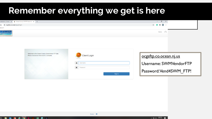# **Remember everything we get is here**

| ordinators   Ocean C $\times$ ( Cean County OIT FTP Server We $\times$ +                     |                     | $\begin{matrix} - & \mathbb{d} & \times \end{matrix}$ |  |
|----------------------------------------------------------------------------------------------|---------------------|-------------------------------------------------------|--|
| $\hat{\mathbf{\Omega}}$ $\bullet$ ocgsftp.co.ocean.nj.us/login                               |                     | ☆ ● ★ ● !                                             |  |
| anara H                                                                                      |                     |                                                       |  |
| <b>County</b>                                                                                |                     | $\Omega$<br>Home                                      |  |
|                                                                                              |                     |                                                       |  |
|                                                                                              |                     |                                                       |  |
| Welcome to the Ocean County Government FTP Site.<br>Please disconnect when work is complete. | <b>Client Login</b> | ocgsftp.co.ocean.nj.us                                |  |
|                                                                                              | <b>1</b> Username   | Username: SWMVendorFTP                                |  |
|                                                                                              | <b>A</b> Password   | Password:Vend4SWM_FTP!                                |  |

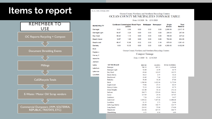# **Items to report**



rpt oc muni tonnage table

#### Ocean County Northern and Southern Recycling Centers OCEAN COUNTY MUNICIPALITES TONNAGE TABLE

#### From: 1/1/2020 To: 12/31/2020

| <b>MUNICIPALITY</b>   |                        | /plastic | <b>Cardboard Commingled Mixed Paper</b>              |                               | Multipaper Newspaper | <b>Single</b><br><b>Stream</b> | <b>Total</b><br><b>Material</b> |  |  |
|-----------------------|------------------------|----------|------------------------------------------------------|-------------------------------|----------------------|--------------------------------|---------------------------------|--|--|
| <b>Barnegat</b>       | 10.01                  | 0.59     | 0.00                                                 | 0.00                          | 0.00                 | 2,806.56                       | 2,817.15                        |  |  |
| <b>Barnegat Light</b> | 54.87                  | 3.29     | 0.00                                                 | 0.00                          | 0.00                 | 209.83                         | 267.99                          |  |  |
| <b>Bay Head</b>       | 66.40                  | 1.13     | 0.00                                                 | 0.00                          | 0.00                 | 159.89                         | 227.42                          |  |  |
| <b>Beach Haven</b>    | 18.57                  | 1.85     | 0.00                                                 | 0.00                          | 0.00                 | 783.68                         | 804.09                          |  |  |
| Beachwood             | 66.47                  | 10.85    | 5.32                                                 | 0.00                          | 3.16                 | 975.63                         | 1,061.43                        |  |  |
| <b>Berkeley</b>       | 9.04                   | 10.35    | 0.00                                                 | 0.00                          | 0.00                 | 4,383.60                       | 4,402.99                        |  |  |
| <b>Brick</b>          |                        |          |                                                      |                               |                      |                                |                                 |  |  |
| Eagleswo              |                        |          | Ocean County Northern and Southern Recycling Centers |                               |                      |                                |                                 |  |  |
| Harvey C              | <b>Compost Tonnage</b> |          |                                                      |                               |                      |                                |                                 |  |  |
| <b>Island He</b>      |                        |          |                                                      | From: 1/1/2020 To: 12/31/2020 |                      |                                |                                 |  |  |
| Jackson               |                        |          |                                                      |                               |                      |                                |                                 |  |  |
| Lacey                 | <b>MUNICIPALIT</b>     |          |                                                      | <b>BRUSH</b>                  | <b>LEAVES</b>        | <b>TOTAL MATERIAL</b>          |                                 |  |  |
| Lakehurs              | Barnegat               |          |                                                      | 749.19                        | 905.21               | 1,654.40                       |                                 |  |  |
|                       | <b>Barnegat Light</b>  |          |                                                      | 52.80                         | 11.99                | 64.79                          |                                 |  |  |
| Lakewoo               | Bay Head               |          |                                                      | 69.68                         | 112.85               | 182.53                         |                                 |  |  |
| Lavalletto            | Beach Haven            |          |                                                      | 34.23                         | 1.95                 | 36.18                          |                                 |  |  |
|                       | Beachwood              |          |                                                      | 18.49                         | 7.46                 | 25.95                          |                                 |  |  |
|                       | <b>Berkeley</b>        |          |                                                      | 56.60                         | 31.20                | 87.80                          |                                 |  |  |
|                       | <b>Brick</b>           |          |                                                      | 1,549.98                      | 1,622.96             | 3,172.94                       |                                 |  |  |
|                       | Eagleswood             |          |                                                      | 73.06                         | 15.33                | 88.39                          |                                 |  |  |
|                       | Harvey Cedars          |          |                                                      | 72.19                         | 23.60                | 95.79                          |                                 |  |  |
|                       | <b>Island Heights</b>  |          |                                                      | 161.00                        | 91.14                | 252.14                         |                                 |  |  |
|                       | Jackson                |          |                                                      | 264.73                        | 239.68               | 504.41                         |                                 |  |  |
|                       | Lacey                  |          |                                                      | 117.69                        | 29.34                | 147.03                         |                                 |  |  |
|                       | Lakehurst              |          |                                                      | 7.28                          | 47.69                | 54.97                          |                                 |  |  |
|                       | Lakewood               |          |                                                      | 3,896.62                      | 7,107.86             | 11,004.48                      |                                 |  |  |
|                       | Lavallette             |          |                                                      | 21.35                         | 2.71                 | 24.06                          |                                 |  |  |
|                       | Little Egg Harbor      |          |                                                      | 106.00                        | 318.75               | 424.75                         |                                 |  |  |
|                       | Long Beach             |          |                                                      | 218.92                        | 55.08                | 274.00                         |                                 |  |  |
|                       | Manchester             |          |                                                      | 216.86                        | 427.93               | 644.79                         |                                 |  |  |
|                       | Mantoloking            |          |                                                      | 6.53                          | 0.36                 | 6.89                           |                                 |  |  |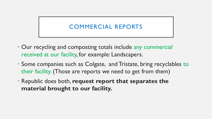# COMMERCIAL REPORTS

- Our recycling and composting totals include any commercial received at our facility, for example: Landscapers.
- Some companies such as Colgate, and Tristate, bring recyclables to their facility. (Those are reports we need to get from them)
- Republic does both, **request report that separates the material brought to our facility.**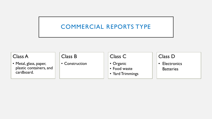# COMMERCIAL REPORTS TYPE

### Class A

• Metal, glass, paper, plastic containers, and cardboard.

### Class B

• Construction

## Class C

- Organic
- Food waste
- Yard Trimmings

### Class D

• Electronics **Batteries**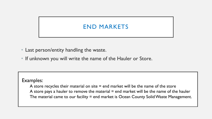# END MARKETS

- Last person/entity handling the waste.
- If unknown you will write the name of the Hauler or Store.

#### Examples:

A store recycles their material on site  $=$  end market will be the name of the store A store pays a hauler to remove the material  $=$  end market will be the name of the hauler The material came to our facility = end market is Ocean County Solid Waste Management.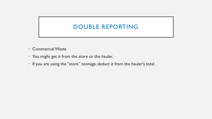# DOUBLE REPORTING

- Commercial Waste
- You might get it from the store or the hauler.
- If you are using the "store" tonnage, deduct it from the hauler's total.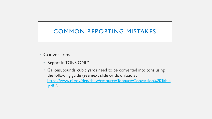# COMMON REPORTING MISTAKES

- **Conversions** 
	- Report in TONS ONLY
	- Gallons, pounds, cubic yards need to be converted into tons using the following guide (see next slide or download at [https://www.nj.gov/dep/dshw/resource/Tonnage/Conversion%20Table](https://www.nj.gov/dep/dshw/resource/Tonnage/Conversion%20Table.pdf) .pdf )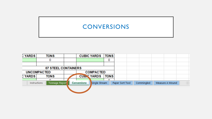# **CONVERSIONS**

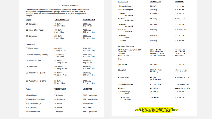#### **CONVERSION TABLE**

Listed below are conversion factors compiled by the Solid and Hazardous Waste Management Program to assist Recycling Coordinators in the calculation of tonnages when the materials are reported to them in volumes as opposed to weights.

7 lbs/gallon

16-Used Motor Oil

| Paper                      | <b>UNCOMPACTED</b>               | <b>COMPACTED</b>                  | 18-Grass<br>Uncompacted                        | 741 lbs/cy                                                                     |
|----------------------------|----------------------------------|-----------------------------------|------------------------------------------------|--------------------------------------------------------------------------------|
| 01-Corrugated              | 40 lbs/cv<br>$50 cy = 1 ton$     | 500 lbs/cy<br>$4 cy = 1 ton$      | 19-Leaves<br>Compacted                         | 1,000 lbs/cy                                                                   |
| 02-Mixed Office Paper      | 400 lbs/cy<br>$5 cy = 1 ton$     | 755 lbs/cy<br>$2.65 cy = 1 ton$   | 19-Leaves<br>Vacuumed                          | 700 lbs/cy                                                                     |
| 03-Newspaper               | 500 lbs/cy<br>$4 cy = 1 ton$     | 865 lbs/cy<br>$2.31$ cy = 1 ton   | 19-Leaves<br>Loose                             | 400 lbs/cy                                                                     |
|                            |                                  |                                   | 20-Stumps                                      | 500 lbs/cy                                                                     |
| Containers                 |                                  |                                   | <b>Consumer Electronics</b>                    |                                                                                |
| 05-Glass (loose)           | 600 lbs/cy<br>$3.33 cy = 1 ton$  | 1,500 lbs/cv<br>1.33 $cy = 1$ ton | 21-Central Processing Unit (CPU)<br>21-Monitor | $26$ lbs = 1 CPU<br>$30$ lbs = 1 Monitor                                       |
| 05-Glass (manually broken) | 1,000 lbs/cv<br>$2 cy = 1 ton$   | 1,500 lbs/cv<br>1.33 $cy = 1$ ton | 21-Printer<br>21-Ink Cartridges                | $25.33$ lbs = 1 Printer<br>$2.5$ lbs = 1 lnk Cartridge                         |
| 06-Aluminum Cans           | 74 lbs/cy<br>$27.02$ cy = 1 ton  | 250 lbs/cy<br>$8 cy = 1 ton$      | Other<br>22-Concrete                           | 4,000 lbs/cy                                                                   |
| 07-Steel Cans              | 150 lbs/cy<br>13.33 $cy = 1$ ton | 350 lbs/cy<br>$5.71$ cy = 1 ton   | 22-Asphalt                                     | 115 lbs/sy 1"thick                                                             |
| 08-Plastic Cont<br>(PETE)  | 30 lbs/cy<br>$66.66$ cy = 1 ton  | 515 lbs/cy<br>$3.88$ cy = 1 ton   |                                                | 4140 lbs/cy                                                                    |
| 08-Plastic Cont (HDPE)     | 25 lbs/cy                        | 270 lbs/cy                        | 23-Food Waste                                  | 412.5 lbs<br>per 55 gal drum                                                   |
|                            | $80 cy = 1 ton$                  | 7.41 $cy = 1$ ton                 | 24-Flourescent Lights                          | $.62$ lbs = 1 tube                                                             |
| Autos                      | <b>WEIGHT/UNIT</b>               | <b>UNITS/TON</b>                  | 29-Carpet                                      | 4.5 lbs/SqYrd                                                                  |
|                            |                                  |                                   | 30-Wood Scraps<br><b>Pallets</b>               | 285.71 lbs/cy                                                                  |
| 12-Anti-freeze             | 7 lbs/gallon                     | 285.71 gallons/ton                | 30-Wood Scraps                                 | 363.64 lbs/cy                                                                  |
| 13-Batteries, Lead-Acid    | 33 lbs/battery                   | 60.61 batteries/ton               | All Other                                      |                                                                                |
| 15-Tires-Passenger         | 20 Ibs/tire                      | 100 tires/ton                     |                                                |                                                                                |
| 15-Tires-Truck             | 90 lbs/tire                      | 22.22 tires/ton                   |                                                | REMEMBER: 2.000 POUNDS EQUALS '<br><b>WILLATEVED VOLLUAVE DEDODTED IN DOUR</b> |

285.71 gallons/ton

**Yard Material** 

18-Grass

17-Brush-Chipped

17-Brush-Unchipped

Compacted

1 TON. WHATEVER YOU HAVE REPORTED IN POUNDS SIMPLY DIVIDE BY 2,000 TO GET YOUR TONS.

**WEIGHT/UNIT** 

500 lbs/cy

250 lbs/cy

1,111 lbs/cy

**UNITS/TON** 

 $4 cy = 1 ton$ 

 $8 cy = 1 ton$ 

 $1.8$  cy = 1 ton

 $2.7 cy = 1 ton$ 

 $2 cy = 1 ton$ 

 $2.86 cy = 1 ton$ 

 $5 cy = 1 ton$ 

 $4 cy = 1 ton$ 

77 units =  $1$  ton  $66.67 = 1$  ton  $78.96 = 1$  ton  $800 = 1$  ton

 $1 cy = 2 tons$ 

17.39 sy = 1 ton 1  $cy = 2.07$  tons

 $4.85$  drums = 1 ton

 $3,200$  tubes = 1 ton 444.44 SqYrd = 1 Ton

 $7 cy = 1 ton$ 

 $5.5 cy = 1 ton$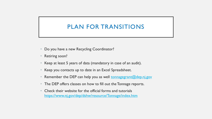# PLAN FOR TRANSITIONS

- Do you have a new Recycling Coordinator?
- Retiring soon?
- Keep at least 5 years of data (mandatory in case of an audit).
- Keep you contacts up to date in an Excel Spreadsheet.
- Remember the DEP can help you as well [tonnagegrant@dep.nj.gov](mailto:tonnagegrant@dep.nj.gov)
- The DEP offers classes on how to fill out the Tonnage reports.
- Check their website for the official forms and tutorials <https://www.nj.gov/dep/dshw/resource/Tonnage/index.htm>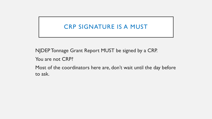# CRP SIGNATURE IS A MUST

NJDEP Tonnage Grant Report MUST be signed by a CRP.

You are not CRP?

Most of the coordinators here are, don't wait until the day before to ask.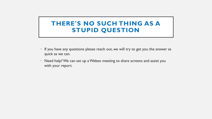## **THERE'S NO SUCH THING AS A STUPID QUESTION**

- If you have any questions please reach out, we will try to get you the answer as quick as we can.
- Need help? We can set up a Webex meeting to share screens and assist you with your report.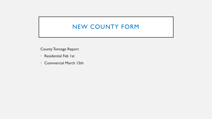## NEW COUNTY FORM

County Tonnage Report

- Residential Feb 1st
- Commercial March 15th